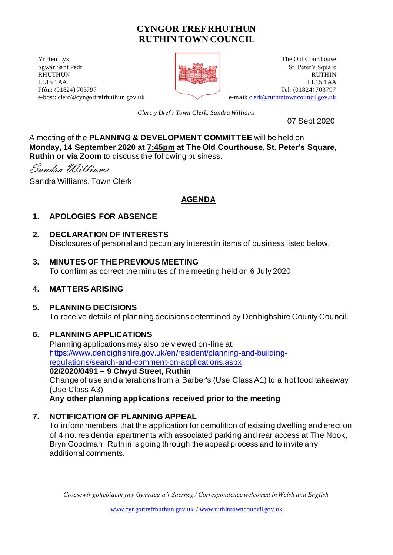# **CYNGOR TREF RHUTHUN RUTHIN TOWN COUNCIL**

**The Old Courthouse** The Old Courthouse **The Old Courthouse** Sgwâr Sant Pedr **St. Peter's Square** RHUTHUN RUTHIN LL15 1AA LL15 1AA Ffôn: (01824) 703797<br>
e-mail: clerk@ruthintowncouncil.gov.uk<br>
e-mail: clerk@ruthintowncouncil.gov.uk



e-mail[: clerk@ruthintowncouncil.gov.uk](mailto:clerk@ruthintowncouncil.gov.uk)

*Clerc y Dref / Town Clerk: Sandra Williams*

07 Sept 2020

A meeting of the **PLANNING & DEVELOPMENT COMMITTEE** will be held on **Monday, 14 September 2020 at 7:45pm at The Old Courthouse, St. Peter's Square, Ruthin or via Zoom** to discuss the following business.

Sandra Williams

Sandra Williams, Town Clerk

# **AGENDA**

### **1. APOLOGIES FOR ABSENCE**

### **2. DECLARATION OF INTERESTS**

Disclosures of personal and pecuniary interest in items of business listed below.

# **3. MINUTES OF THE PREVIOUS MEETING**

To confirm as correct the minutes of the meeting held on 6 July 2020.

#### **4. MATTERS ARISING**

#### **5. PLANNING DECISIONS**

To receive details of planning decisions determined by Denbighshire County Council.

#### **6. PLANNING APPLICATIONS**

Planning applications may also be viewed on-line at: [https://www.denbighshire.gov.uk/en/resident/planning-and-building](https://www.denbighshire.gov.uk/en/resident/planning-and-building-regulations/search-and-comment-on-applications.aspx)[regulations/search-and-comment-on-applications.aspx](https://www.denbighshire.gov.uk/en/resident/planning-and-building-regulations/search-and-comment-on-applications.aspx) **02/2020/0491 – 9 Clwyd Street, Ruthin** Change of use and alterations from a Barber's (Use Class A1) to a hot food takeaway (Use Class A3) **Any other planning applications received prior to the meeting**

## **7. NOTIFICATION OF PLANNING APPEAL**

To inform members that the application for demolition of existing dwelling and erection of 4 no. residential apartments with associated parking and rear access at The Nook, Bryn Goodman, Ruthin is going through the appeal process and to invite any additional comments.

*Croesewir gohebiaeth yn y Gymraeg a'r Saesneg / Correspondence welcomed in Welsh and English*